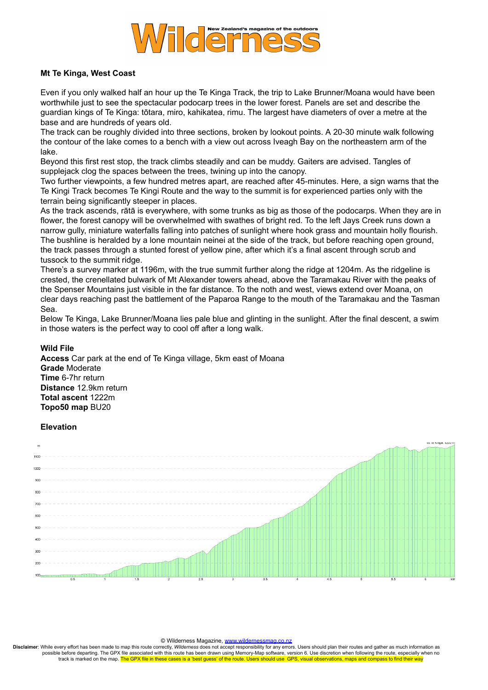

## **Mt Te Kinga, West Coast**

Even if you only walked half an hour up the Te Kinga Track, the trip to Lake Brunner/Moana would have been worthwhile just to see the spectacular podocarp trees in the lower forest. Panels are set and describe the guardian kings of Te Kinga: tōtara, miro, kahikatea, rimu. The largest have diameters of over a metre at the base and are hundreds of years old.

The track can be roughly divided into three sections, broken by lookout points. A 20-30 minute walk following the contour of the lake comes to a bench with a view out across Iveagh Bay on the northeastern arm of the lake.

Beyond this first rest stop, the track climbs steadily and can be muddy. Gaiters are advised. Tangles of supplejack clog the spaces between the trees, twining up into the canopy.

Two further viewpoints, a few hundred metres apart, are reached after 45-minutes. Here, a sign warns that the Te Kingi Track becomes Te Kingi Route and the way to the summit is for experienced parties only with the terrain being significantly steeper in places.

As the track ascends, rātā is everywhere, with some trunks as big as those of the podocarps. When they are in flower, the forest canopy will be overwhelmed with swathes of bright red. To the left Jays Creek runs down a narrow gully, miniature waterfalls falling into patches of sunlight where hook grass and mountain holly flourish. The bushline is heralded by a lone mountain neinei at the side of the track, but before reaching open ground, the track passes through a stunted forest of yellow pine, after which it's a final ascent through scrub and tussock to the summit ridge.

There's a survey marker at 1196m, with the true summit further along the ridge at 1204m. As the ridgeline is crested, the crenellated bulwark of Mt Alexander towers ahead, above the Taramakau River with the peaks of the Spenser Mountains just visible in the far distance. To the noth and west, views extend over Moana, on clear days reaching past the battlement of the Paparoa Range to the mouth of the Taramakau and the Tasman Sea.

Below Te Kinga, Lake Brunner/Moana lies pale blue and glinting in the sunlight. After the final descent, a swim in those waters is the perfect way to cool off after a long walk.

## **Wild File**

**Access** Car park at the end of Te Kinga village, 5km east of Moana **Grade** Moderate **Time** 6-7hr return **Distance** 12.9km return **Total ascent** 1222m **Topo50 map** BU20

## **Elevation**



## © Wilderness Magazine, [www.wildernessmag.co.nz](http://www.wildernessmag.co.nz/)

**Disclaimer**: While every effort has been made to map this route correctly, *Wilderness* does not accept responsibility for any errors. Users should plan their routes and gather as much information as possible before departing. The GPX file associated with this route has been drawn using Memory-Map software, version 6. Use discretion when following the route, especially when no track is marked on the map. The GPX file in these cases is a 'best guess' of the route. Users should use GPS, visual observations, maps and compass to find their wa